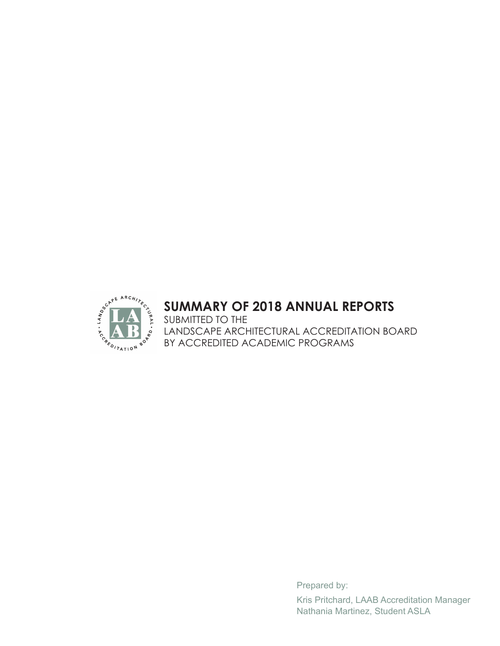

### **SUMMARY OF 2018 ANNUAL REPORTS** SUBMITTED TO THE LANDSCAPE ARCHITECTURAL ACCREDITATION BOARD BY ACCREDITED ACADEMIC PROGRAMS

Prepared by:

Kris Pritchard, LAAB Accreditation Manager Nathania Martinez, Student ASLA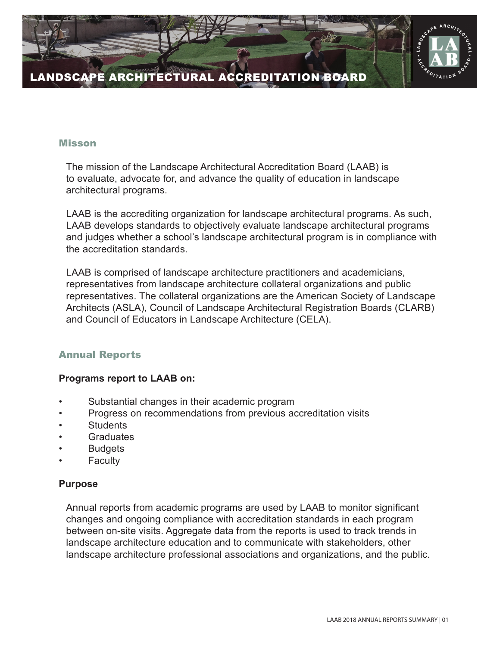

#### **Misson**

The mission of the Landscape Architectural Accreditation Board (LAAB) is to evaluate, advocate for, and advance the quality of education in landscape architectural programs.

LAAB is the accrediting organization for landscape architectural programs. As such, LAAB develops standards to objectively evaluate landscape architectural programs and judges whether a school's landscape architectural program is in compliance with the accreditation standards.

LAAB is comprised of landscape architecture practitioners and academicians, representatives from landscape architecture collateral organizations and public representatives. The collateral organizations are the American Society of Landscape Architects (ASLA), Council of Landscape Architectural Registration Boards (CLARB) and Council of Educators in Landscape Architecture (CELA).

#### Annual Reports

#### **Programs report to LAAB on:**

- Substantial changes in their academic program
- Progress on recommendations from previous accreditation visits
- **Students**
- **Graduates**
- **Budgets**
- Faculty

#### **Purpose**

Annual reports from academic programs are used by LAAB to monitor significant changes and ongoing compliance with accreditation standards in each program between on-site visits. Aggregate data from the reports is used to track trends in landscape architecture education and to communicate with stakeholders, other landscape architecture professional associations and organizations, and the public.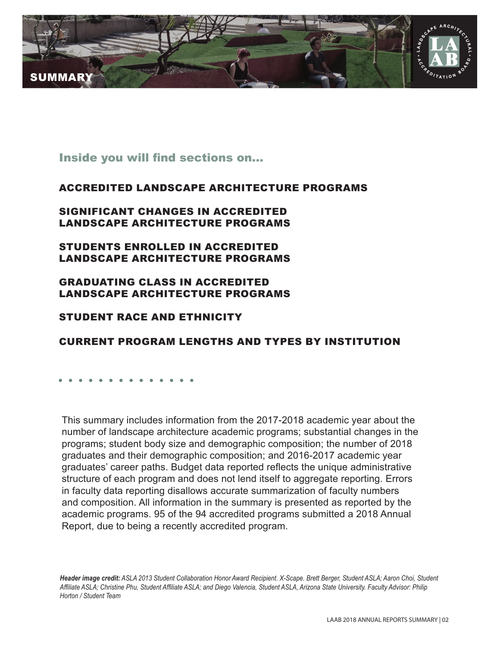

#### Inside you will find sections on...

#### ACCREDITED LANDSCAPE ARCHITECTURE PROGRAMS

#### SIGNIFICANT CHANGES IN ACCREDITED LANDSCAPE ARCHITECTURE PROGRAMS

#### STUDENTS ENROLLED IN ACCREDITED LANDSCAPE ARCHITECTURE PROGRAMS

#### GRADUATING CLASS IN ACCREDITED LANDSCAPE ARCHITECTURE PROGRAMS

#### STUDENT RACE AND ETHNICITY

#### CURRENT PROGRAM LENGTHS AND TYPES BY INSTITUTION

This summary includes information from the 2017-2018 academic year about the number of landscape architecture academic programs; substantial changes in the programs; student body size and demographic composition; the number of 2018 graduates and their demographic composition; and 2016-2017 academic year graduates' career paths. Budget data reported reflects the unique administrative structure of each program and does not lend itself to aggregate reporting. Errors in faculty data reporting disallows accurate summarization of faculty numbers and composition. All information in the summary is presented as reported by the academic programs. 95 of the 94 accredited programs submitted a 2018 Annual Report, due to being a recently accredited program.

*Header image credit: ASLA 2013 Student Collaboration Honor Award Recipient. X-Scape. Brett Berger, Student ASLA; Aaron Choi, Student Affi liate ASLA; Christine Phu, Student Affi liate ASLA; and Diego Valencia, Student ASLA, Arizona State University. Faculty Advisor: Philip Horton / Student Team*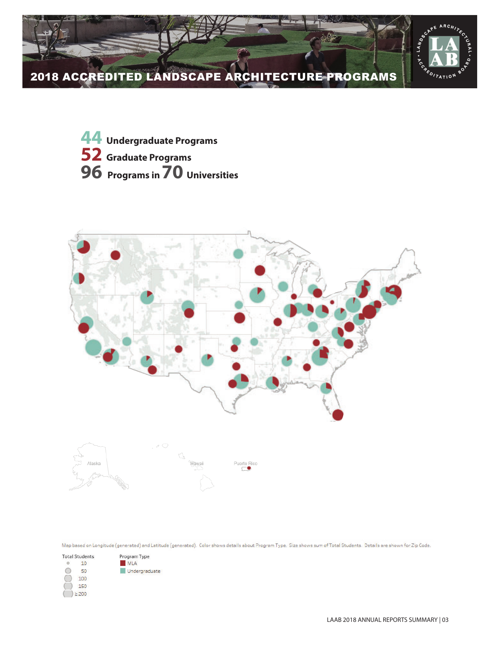





Map based on Longitude (generated) and Latitude (generated). Color shows details about Program Type. Size shows sum of Total Students. Details are shown for Zip Code.

| <b>Total Students</b> | Program Type  |
|-----------------------|---------------|
|                       | MI A          |
|                       | Undergraduate |
| 100                   |               |
| 150                   |               |
| > 200                 |               |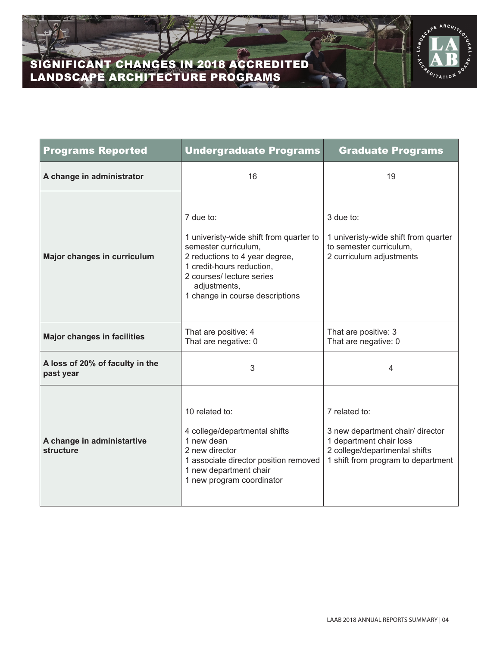| <b>Programs Reported</b>                     | <b>Undergraduate Programs</b>                                                                                                                                                                                               | <b>Graduate Programs</b>                                                                                                                            |
|----------------------------------------------|-----------------------------------------------------------------------------------------------------------------------------------------------------------------------------------------------------------------------------|-----------------------------------------------------------------------------------------------------------------------------------------------------|
| A change in administrator                    | 16                                                                                                                                                                                                                          | 19                                                                                                                                                  |
| Major changes in curriculum                  | 7 due to:<br>1 univeristy-wide shift from quarter to<br>semester curriculum,<br>2 reductions to 4 year degree,<br>1 credit-hours reduction,<br>2 courses/ lecture series<br>adjustments,<br>1 change in course descriptions | 3 due to:<br>1 univeristy-wide shift from quarter<br>to semester curriculum.<br>2 curriculum adjustments                                            |
| <b>Major changes in facilities</b>           | That are positive: 4<br>That are negative: 0                                                                                                                                                                                | That are positive: 3<br>That are negative: 0                                                                                                        |
| A loss of 20% of faculty in the<br>past year | 3                                                                                                                                                                                                                           | 4                                                                                                                                                   |
| A change in administartive<br>structure      | 10 related to:<br>4 college/departmental shifts<br>1 new dean<br>2 new director<br>1 associate director position removed<br>1 new department chair<br>1 new program coordinator                                             | 7 related to:<br>3 new department chair/ director<br>1 department chair loss<br>2 college/departmental shifts<br>1 shift from program to department |

ARC.

 $\sqrt[s]{\epsilon_{\scriptscriptstyle O}}_{\scriptscriptstyle 7A\text{TiO}}\sqrt[s]{\epsilon_{\scriptscriptstyle O}}$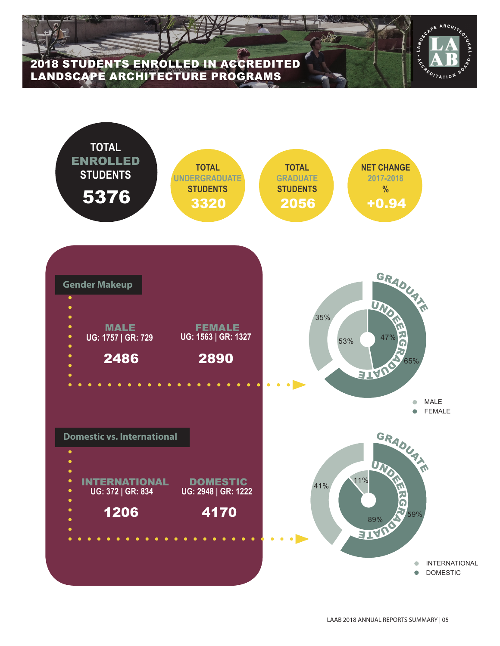# 2018 STUDENTS ENROLLED IN ACCREDITED LANDSCAPE ARCHITECTURE PROGRAMS



**PEARCH** 

PEDITATION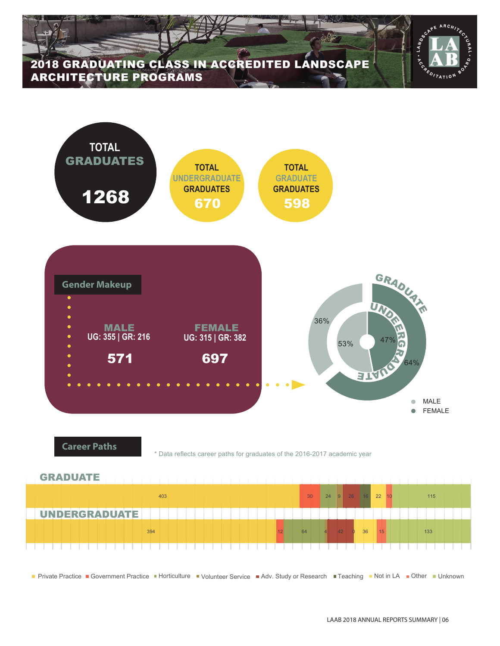# 2018 GRADUATING CLASS IN ACCREDITED LANDSCAPE  $\mathscr{E}_{\delta_{\mathscr{N}_{\mathcal{I}_{\mathit{ATI} \mathfrak{O}}}} \mathscr{C}}$ ARCHITECTURE PROGRAMS





\* Data refl ects career paths for graduates of the 2016-2017 academic year



LAAB 2018 ANNUAL REPORTS SUMMARY | 06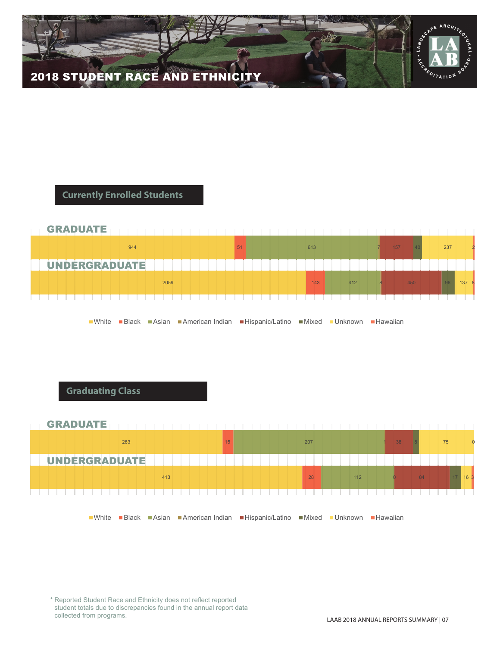

#### **Currently Enrolled Students**



**Graduating Class**



\* Reported Student Race and Ethnicity does not reflect reported student totals due to discrepancies found in the annual report data collected from programs.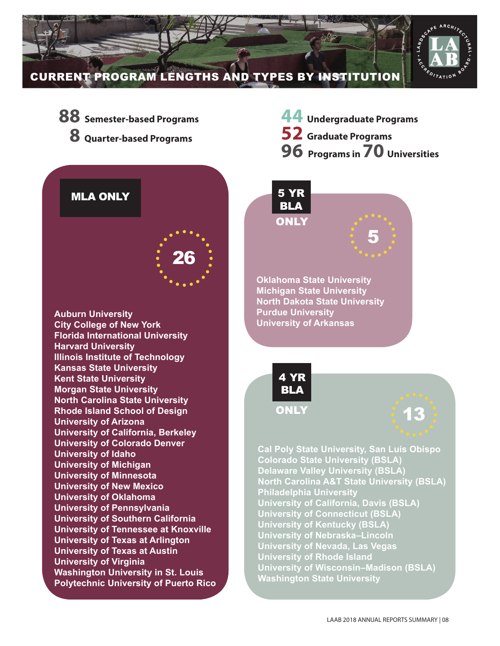



26

**44 Undergraduate Programs**

**52 Graduate Programs**

**96 Programs in 70 Universities** 

## MLA ONLY

ONLY BLA

**ONLY** 

4 YR BLA

5 YR

5

**Oklahoma State University Michigan State University North Dakota State University Purdue University University of Arkansas**



**Cal Poly State University, San Luis Obispo Colorado State University (BSLA) Delaware Valley University (BSLA) North Carolina A&T State University (BSLA) Philadelphia University University of California, Davis (BSLA) University of Connecticut (BSLA) University of Kentucky (BSLA) University of Nebraska–Lincoln University of Nevada, Las Vegas University of Rhode Island University of Wisconsin–Madison (BSLA) Washington State University** 

13